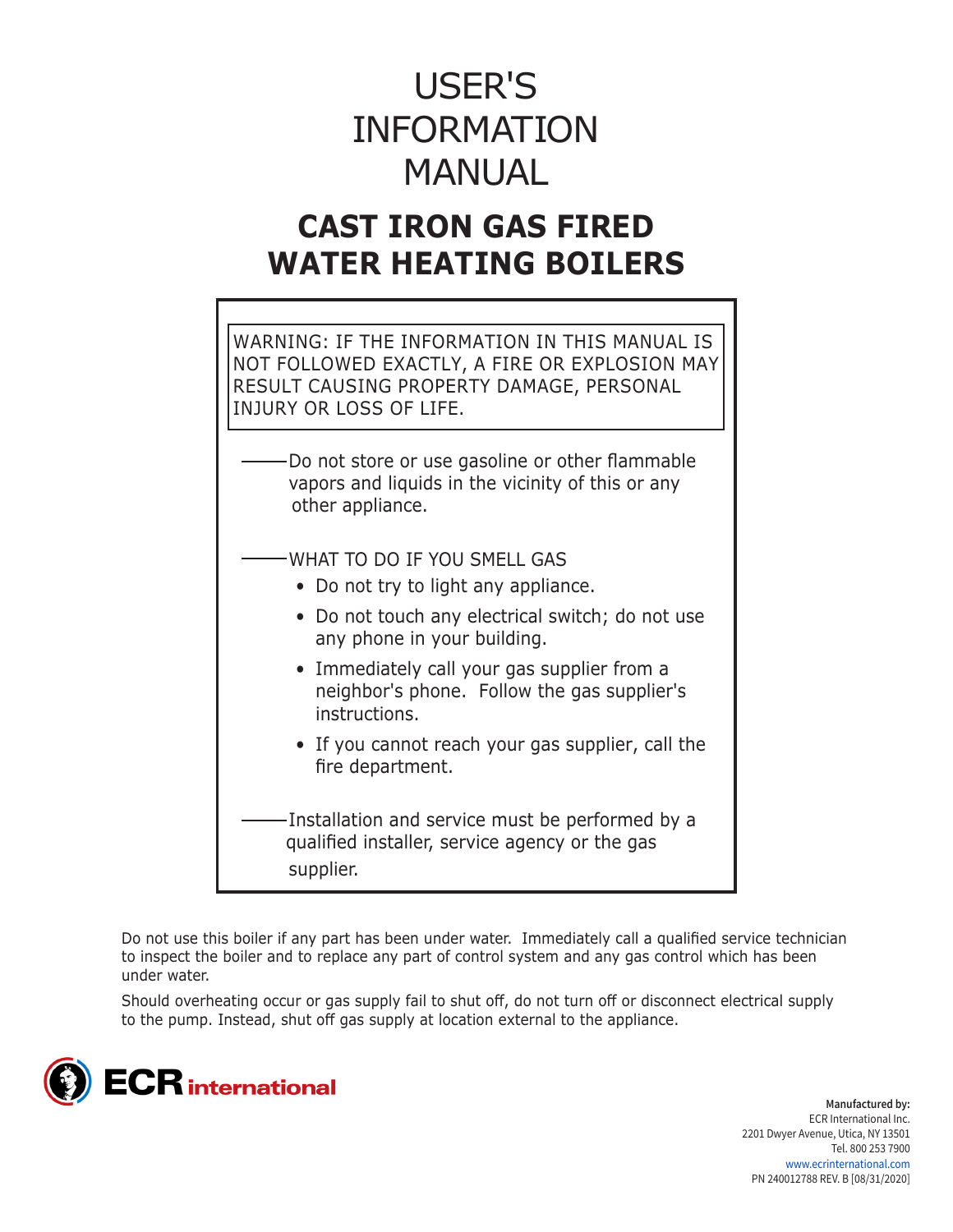# USER'S INFORMATION MANUAL

# **CAST IRON GAS FIRED WATER HEATING BOILERS**

WARNING: IF THE INFORMATION IN THIS MANUAL IS NOT FOLLOWED EXACTLY, A FIRE OR EXPLOSION MAY RESULT CAUSING PROPERTY DAMAGE, PERSONAL INJURY OR LOSS OF LIFE.

Do not store or use gasoline or other flammable vapors and liquids in the vicinity of this or any other appliance.

WHAT TO DO IF YOU SMELL GAS

- Do not try to light any appliance.
- Do not touch any electrical switch; do not use any phone in your building.
- Immediately call your gas supplier from a neighbor's phone. Follow the gas supplier's instructions.
- If you cannot reach your gas supplier, call the fire department.

Installation and service must be performed by a qualified installer, service agency or the gas supplier.

Do not use this boiler if any part has been under water. Immediately call a qualified service technician to inspect the boiler and to replace any part of control system and any gas control which has been under water.

Should overheating occur or gas supply fail to shut off, do not turn off or disconnect electrical supply to the pump. Instead, shut off gas supply at location external to the appliance.

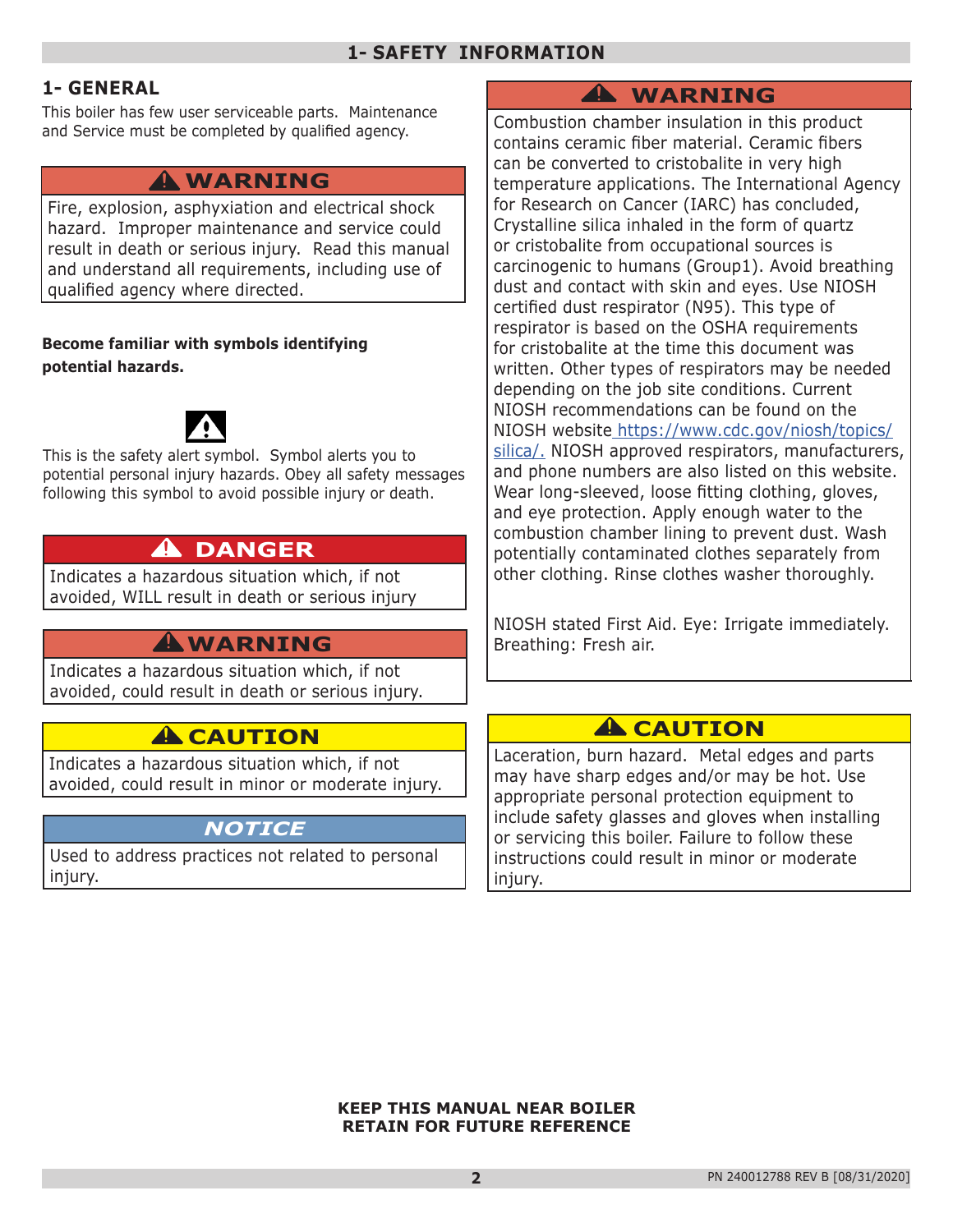## **1- GENERAL**

This boiler has few user serviceable parts. Maintenance and Service must be completed by qualified agency.

## **WARNING !**

Fire, explosion, asphyxiation and electrical shock hazard. Improper maintenance and service could result in death or serious injury. Read this manual and understand all requirements, including use of qualified agency where directed.

#### **Become familiar with symbols identifying potential hazards.**



This is the safety alert symbol. Symbol alerts you to potential personal injury hazards. Obey all safety messages following this symbol to avoid possible injury or death.

## **DANGER !**

Indicates a hazardous situation which, if not avoided, WILL result in death or serious injury

## **WARNING !**

Indicates a hazardous situation which, if not avoided, could result in death or serious injury.

## **A** CAUTION

Indicates a hazardous situation which, if not avoided, could result in minor or moderate injury.

## *NOTICE*

Used to address practices not related to personal injury.

## **WARNING !**

Combustion chamber insulation in this product contains ceramic fiber material. Ceramic fibers can be converted to cristobalite in very high temperature applications. The International Agency for Research on Cancer (IARC) has concluded, Crystalline silica inhaled in the form of quartz or cristobalite from occupational sources is carcinogenic to humans (Group1). Avoid breathing dust and contact with skin and eyes. Use NIOSH certified dust respirator (N95). This type of respirator is based on the OSHA requirements for cristobalite at the time this document was written. Other types of respirators may be needed depending on the job site conditions. Current NIOSH recommendations can be found on the NIOSH website [https://www.cdc.gov/niosh/topics/]( http://www.cdc.gov/niosh/homepage.html.) [silica/.]( http://www.cdc.gov/niosh/homepage.html.) NIOSH approved respirators, manufacturers, and phone numbers are also listed on this website. Wear long-sleeved, loose fitting clothing, gloves, and eye protection. Apply enough water to the combustion chamber lining to prevent dust. Wash potentially contaminated clothes separately from other clothing. Rinse clothes washer thoroughly.

NIOSH stated First Aid. Eye: Irrigate immediately. Breathing: Fresh air.

## **A** CAUTION

Laceration, burn hazard. Metal edges and parts may have sharp edges and/or may be hot. Use appropriate personal protection equipment to include safety glasses and gloves when installing or servicing this boiler. Failure to follow these instructions could result in minor or moderate injury.

**KEEP THIS MANUAL NEAR BOILER RETAIN FOR FUTURE REFERENCE**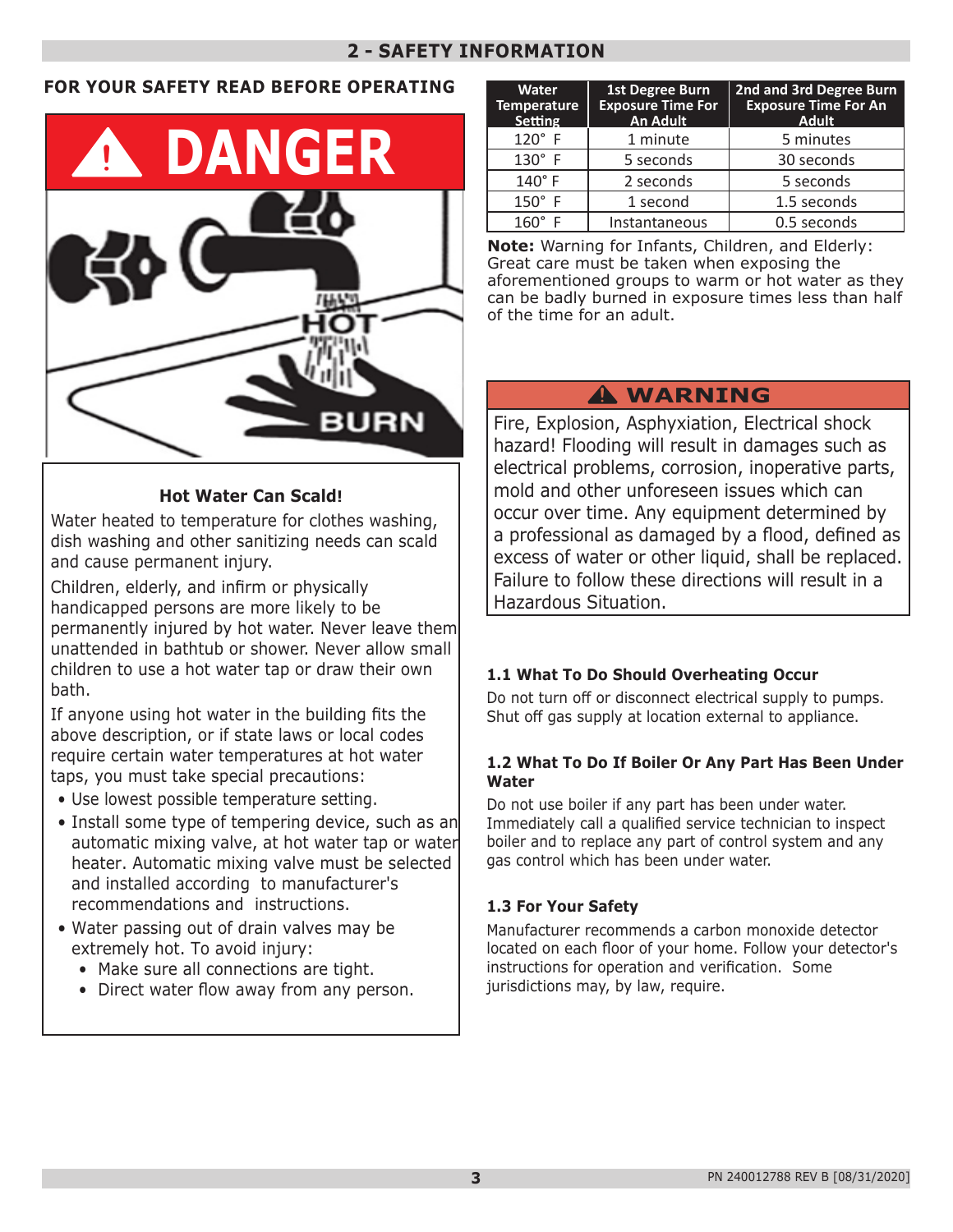## **2 - SAFETY INFORMATION**

#### **FOR YOUR SAFETY READ BEFORE OPERATING**



#### **Hot Water Can Scald!**

Water heated to temperature for clothes washing, dish washing and other sanitizing needs can scald and cause permanent injury.

Children, elderly, and infirm or physically handicapped persons are more likely to be permanently injured by hot water. Never leave them unattended in bathtub or shower. Never allow small children to use a hot water tap or draw their own bath.

If anyone using hot water in the building fits the above description, or if state laws or local codes require certain water temperatures at hot water taps, you must take special precautions:

- Use lowest possible temperature setting.
- Install some type of tempering device, such as an automatic mixing valve, at hot water tap or water heater. Automatic mixing valve must be selected and installed according to manufacturer's recommendations and instructions.
- Water passing out of drain valves may be extremely hot. To avoid injury:
	- Make sure all connections are tight.
	- Direct water flow away from any person.

| <b>Water</b><br><b>Temperature</b><br><b>Setting</b> | 1st Degree Burn<br><b>Exposure Time For</b><br>An Adult | 2nd and 3rd Degree Burn<br><b>Exposure Time For An</b><br><b>Adult</b> |
|------------------------------------------------------|---------------------------------------------------------|------------------------------------------------------------------------|
| $120^\circ$ F                                        | 1 minute                                                | 5 minutes                                                              |
| $130^\circ$ F                                        | 5 seconds                                               | 30 seconds                                                             |
| 140°F                                                | 2 seconds                                               | 5 seconds                                                              |
| $150^\circ$ F                                        | 1 second                                                | 1.5 seconds                                                            |
| $160^\circ$<br>-F                                    | Instantaneous                                           | 0.5 seconds                                                            |

**Note:** Warning for Infants, Children, and Elderly: Great care must be taken when exposing the aforementioned groups to warm or hot water as they can be badly burned in exposure times less than half of the time for an adult.

## **WARNING !**

Fire, Explosion, Asphyxiation, Electrical shock hazard! Flooding will result in damages such as electrical problems, corrosion, inoperative parts, mold and other unforeseen issues which can occur over time. Any equipment determined by a professional as damaged by a flood, defined as excess of water or other liquid, shall be replaced. Failure to follow these directions will result in a Hazardous Situation.

#### **1.1 What To Do Should Overheating Occur**

Do not turn off or disconnect electrical supply to pumps. Shut off gas supply at location external to appliance.

#### **1.2 What To Do If Boiler Or Any Part Has Been Under Water**

Do not use boiler if any part has been under water. Immediately call a qualified service technician to inspect boiler and to replace any part of control system and any gas control which has been under water.

#### **1.3 For Your Safety**

Manufacturer recommends a carbon monoxide detector located on each floor of your home. Follow your detector's instructions for operation and verification. Some jurisdictions may, by law, require.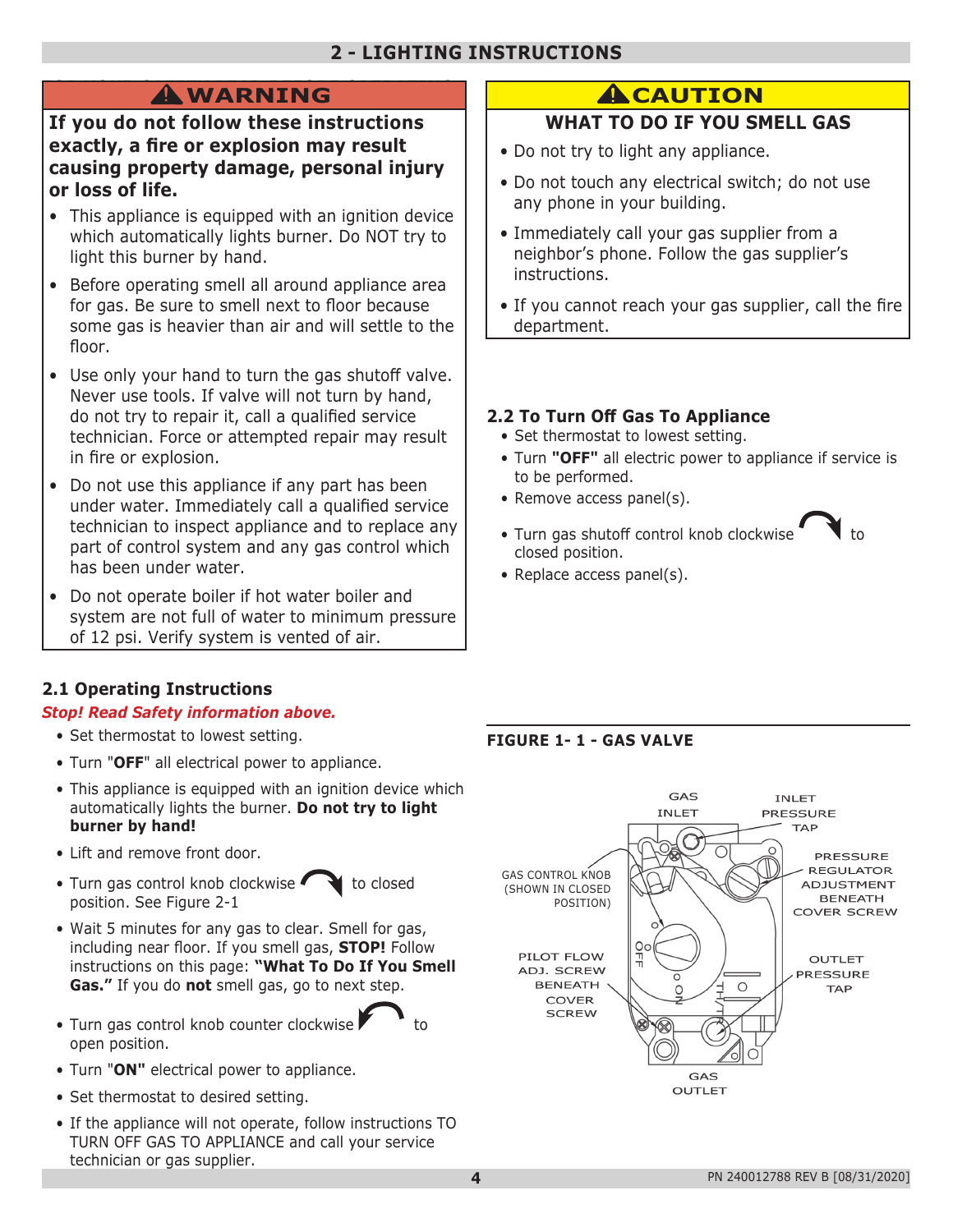## **2 - LIGHTING INSTRUCTIONS**

## **EXECUTION**

**If you do not follow these instructions exactly, a fire or explosion may result causing property damage, personal injury or loss of life.**

- This appliance is equipped with an ignition device which automatically lights burner. Do NOT try to light this burner by hand.
- Before operating smell all around appliance area for gas. Be sure to smell next to floor because some gas is heavier than air and will settle to the floor.
- Use only your hand to turn the gas shutoff valve. Never use tools. If valve will not turn by hand, do not try to repair it, call a qualified service technician. Force or attempted repair may result in fire or explosion.
- Do not use this appliance if any part has been under water. Immediately call a qualified service technician to inspect appliance and to replace any part of control system and any gas control which has been under water.
- Do not operate boiler if hot water boiler and system are not full of water to minimum pressure of 12 psi. Verify system is vented of air.

## **2.1 Operating Instructions**

#### *Stop! Read Safety information above.*

- Set thermostat to lowest setting.
- Turn "**OFF**" all electrical power to appliance.
- This appliance is equipped with an ignition device which automatically lights the burner. **Do not try to light burner by hand!**
- Lift and remove front door.
- Turn gas control knob clockwise  $\bullet$   $\bullet$  to closed position. See Figure 2-1
- Wait 5 minutes for any gas to clear. Smell for gas, including near floor. If you smell gas, **STOP!** Follow instructions on this page: **"What To Do If You Smell Gas."** If you do **not** smell gas, go to next step.
- $\bullet$  Turn gas control knob counter clockwise open position.
- Turn "**ON"** electrical power to appliance.
- Set thermostat to desired setting.
- If the appliance will not operate, follow instructions TO TURN OFF GAS TO APPLIANCE and call your service technician or gas supplier.

## **WHAT TO DO IF YOU SMELL GAS**

- Do not try to light any appliance.
- Do not touch any electrical switch; do not use any phone in your building.
- Immediately call your gas supplier from a neighbor's phone. Follow the gas supplier's instructions.
- If you cannot reach your gas supplier, call the fire department.

#### **2.2 To Turn Off Gas To Appliance**

- Set thermostat to lowest setting.
- Turn **"OFF"** all electric power to appliance if service is to be performed.
- Remove access panel(s).



• Replace access panel(s).

closed position.

## **FIGURE 1- 1 - GAS VALVE**

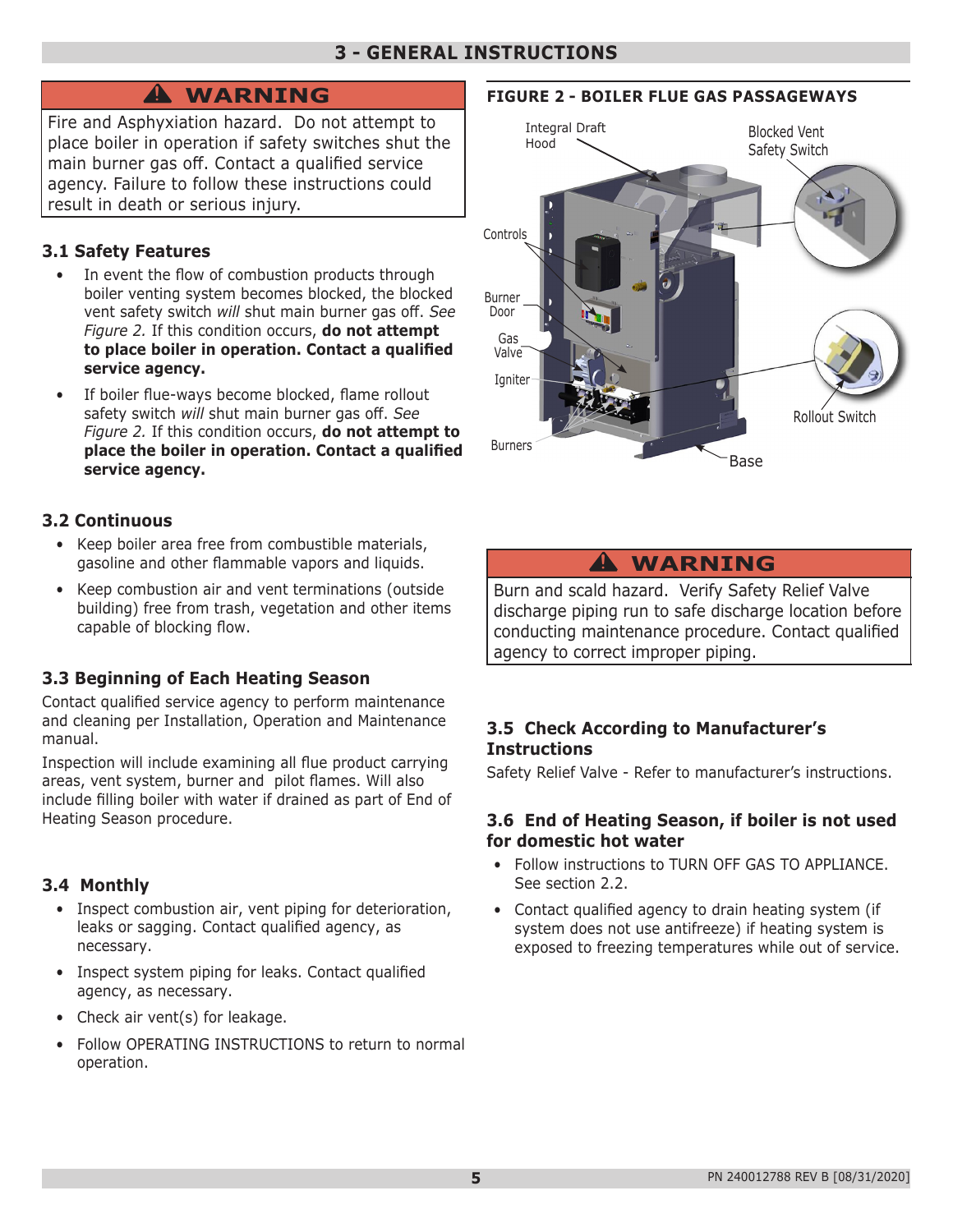## **WARNING !**

Fire and Asphyxiation hazard. Do not attempt to place boiler in operation if safety switches shut the main burner gas off. Contact a qualified service agency. Failure to follow these instructions could result in death or serious injury.

### **3.1 Safety Features**

- In event the flow of combustion products through boiler venting system becomes blocked, the blocked vent safety switch *will* shut main burner gas off. *See Figure 2.* If this condition occurs, **do not attempt to place boiler in operation. Contact a qualified service agency.**
- If boiler flue-ways become blocked, flame rollout safety switch *will* shut main burner gas off. *See Figure 2.* If this condition occurs, **do not attempt to place the boiler in operation. Contact a qualified service agency.**

#### **3.2 Continuous**

- Keep boiler area free from combustible materials, gasoline and other flammable vapors and liquids.
- Keep combustion air and vent terminations (outside building) free from trash, vegetation and other items capable of blocking flow.

## **3.3 Beginning of Each Heating Season**

Contact qualified service agency to perform maintenance and cleaning per Installation, Operation and Maintenance manual.

Inspection will include examining all flue product carrying areas, vent system, burner and pilot flames. Will also include filling boiler with water if drained as part of End of Heating Season procedure.

## **3.4 Monthly**

- Inspect combustion air, vent piping for deterioration, leaks or sagging. Contact qualified agency, as necessary.
- Inspect system piping for leaks. Contact qualified agency, as necessary.
- Check air vent(s) for leakage.
- Follow OPERATING INSTRUCTIONS to return to normal operation.

## **FIGURE 2 - BOILER FLUE GAS PASSAGEWAYS**



## **WARNING !**

Burn and scald hazard. Verify Safety Relief Valve discharge piping run to safe discharge location before conducting maintenance procedure. Contact qualified agency to correct improper piping.

## **3.5 Check According to Manufacturer's Instructions**

Safety Relief Valve - Refer to manufacturer's instructions.

#### **3.6 End of Heating Season, if boiler is not used for domestic hot water**

- Follow instructions to TURN OFF GAS TO APPLIANCE. See section 2.2.
- Contact qualified agency to drain heating system (if system does not use antifreeze) if heating system is exposed to freezing temperatures while out of service.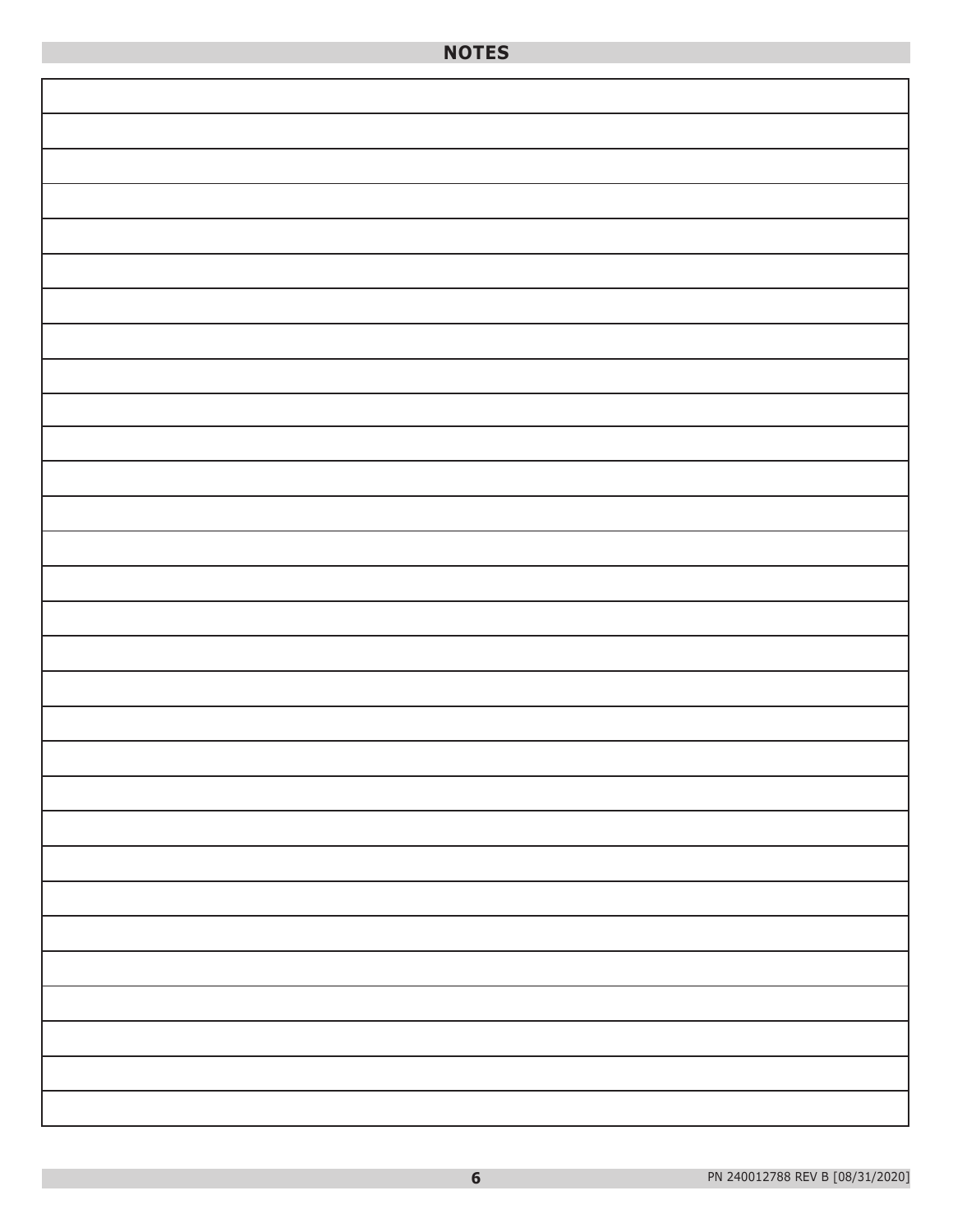| <b>NOTES</b> |  |
|--------------|--|
|              |  |
|              |  |
|              |  |
|              |  |
|              |  |
|              |  |
|              |  |
|              |  |
|              |  |
|              |  |
|              |  |
|              |  |
|              |  |
|              |  |
|              |  |
|              |  |
|              |  |
|              |  |
|              |  |
|              |  |
|              |  |
|              |  |
|              |  |
|              |  |
|              |  |
|              |  |
|              |  |
|              |  |
|              |  |
|              |  |
|              |  |
|              |  |
|              |  |
|              |  |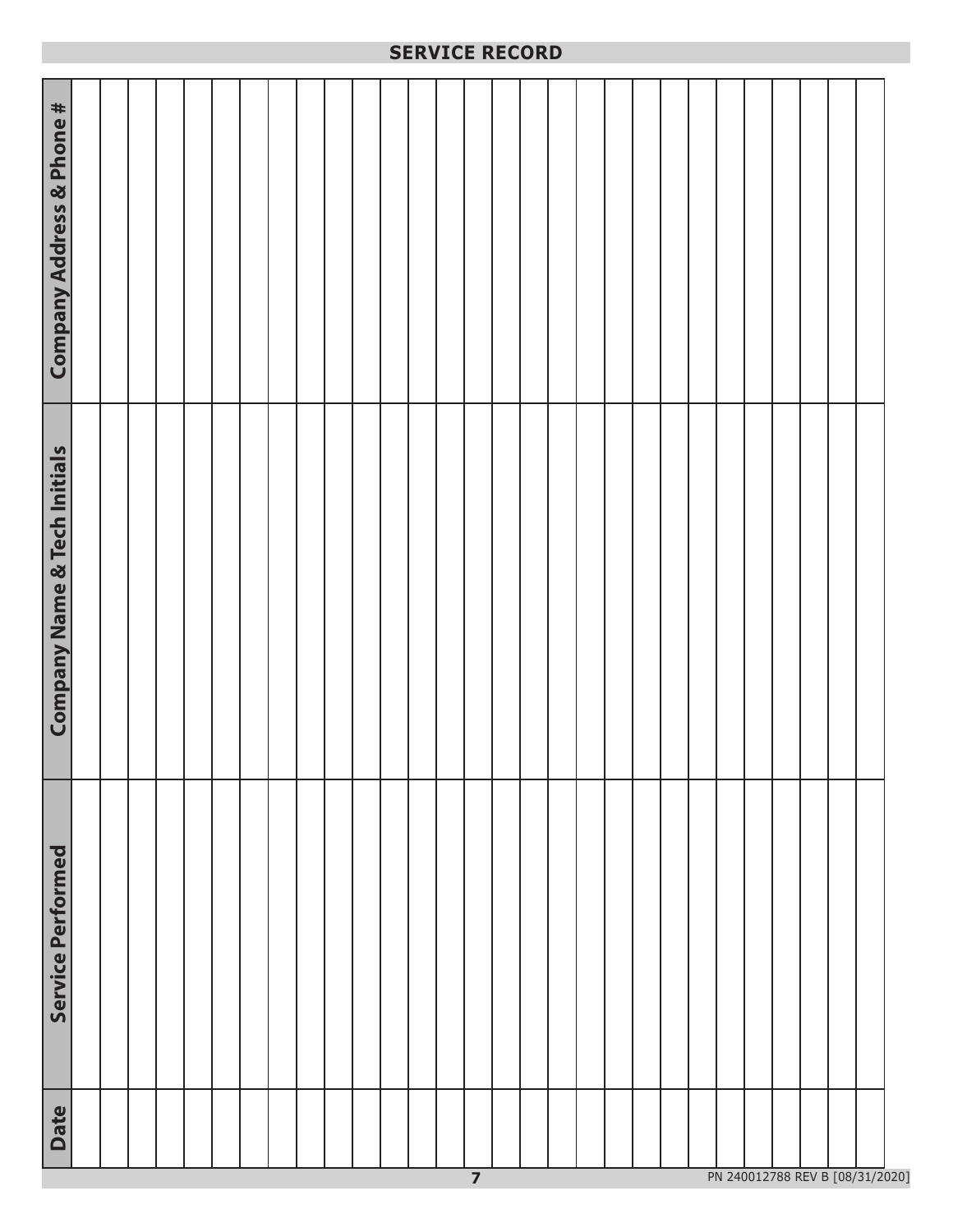|                                         |  |  |  |  |  |  | <b>SERVICE RECORD</b> |  |  |  |  |  |  |  |  |
|-----------------------------------------|--|--|--|--|--|--|-----------------------|--|--|--|--|--|--|--|--|
| Company Address & Phone #               |  |  |  |  |  |  |                       |  |  |  |  |  |  |  |  |
| <b>Company Name &amp; Tech Initials</b> |  |  |  |  |  |  |                       |  |  |  |  |  |  |  |  |
| <b>Service Performed</b>                |  |  |  |  |  |  |                       |  |  |  |  |  |  |  |  |
| <b>Date</b>                             |  |  |  |  |  |  |                       |  |  |  |  |  |  |  |  |

**SERVICE RECORD**